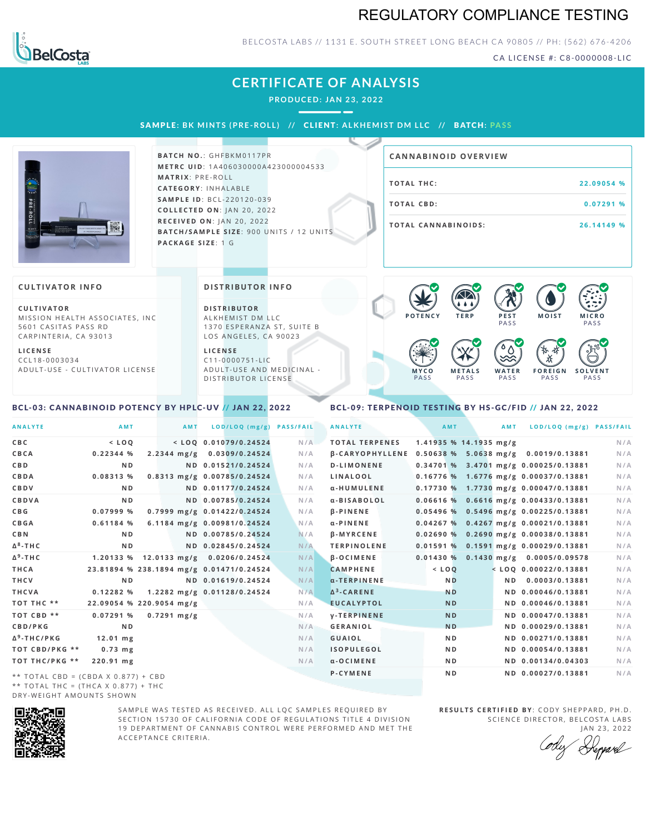## REGULATORY COMPLIANCE TESTING



### BELCOSTA LABS // 1131 E. SOUTH STREET LONG BEACH CA 90805 // PH: (562) 676-4206

CA LICENSE #: C8-0000008-LIC

**M O IS T M IC R O**

**F O R E I G N PASS** 

祅

**PASS** 

**S O L V E N T PASS** 

## **CERTIFICATE OF ANALYSIS**

**PRODUCED: JAN 23, 2022**

SAMPL E **: BK MINTS (PRE -ROL L ) //** CL I ENT**: A LKHEMI ST DM L LC //** BATCH**: PA S S**



**BATCH NO.: GHFBKM0117PR M E T R C U ID** :1 A 4 0 6 0 3 0 0 0 0 A 4 2 3 0 0 0 0 0 4 5 3 3 **M AT R I X** :P R E - R O L L **CAT E G O R Y** : I N H A L A B L E **SA M P L E I D** :B C L - 2 2 0 1 2 0 - 0 3 9 **C O L L E C T E D O N** :J A N 2 0 , 2 0 2 2 **R E C E I V E D O N** : J A N 2 0 ,2 0 2 2 **BAT C H / SA M P L E S I Z E** : 9 0 0 U N IT S / 1 2 U N IT S **PAC KA G E S I Z E** : 1 G

| <b>CANNABINOID OVERVIEW</b> |            |
|-----------------------------|------------|
| TOTAL THC:                  | 22.09054 % |
| TOTAL CBD:                  | 0.07291%   |
| <b>TOTAL CANNABINOIDS:</b>  | 26.14149 % |

#### **CULTIVATOR I N FO**

**C U L T I VAT O R** MISSION HEALTH ASSOCIATES, INC 5601 CASITAS PASS RD CARPINTERIA, CA 93013

**L I C E N S E** C C L 1 8 - 0 0 0 3 0 3 4 A D U L T - U S E - C U L T I V A T O R L I C E N S E

<span id="page-0-0"></span>BCL-03: CANNABINOID POTENCY BY HPLC-UV // JAN 22, 2022

**DI STRIBUTOR I N FO**

**D I S T R IB U T O R** ALKHEMIST DM LLC 1370 ESPERANZA ST, SUITE B LOS ANGELES, CA 90023

**L I C E N S E**  $C11 - 0000751 - L$ A D U L T - U S E A N D M E D I C I N A L -DISTRIBUTOR LICENSE

## <span id="page-0-1"></span>PA S S BCL-09: TERPENOID TESTING BY HS-GC/FID // JAN 22, 2022

**M E T A L S**

**M Y C O** PA S S **P O T E N C Y T E R P P E S T**

**PASS** 

 $\bullet$  60 60 60 60

 $\bullet$  6.0 6.0 6.0

**W A T E R** PA S S

| <b>ANALYTE</b>                      | AMT                                      | <b>AMT</b>    |                             | LOD/LOQ (mg/g) PASS/FAIL | <b>ANALYTE</b>         | AMT                    | AMT | LOD/LOQ (mg/g) PASS/FAIL                |     |
|-------------------------------------|------------------------------------------|---------------|-----------------------------|--------------------------|------------------------|------------------------|-----|-----------------------------------------|-----|
| C B C                               | $<$ LOQ                                  |               | $<$ LOQ 0.01079/0.24524     | N/A                      | <b>TOTAL TERPENES</b>  | 1.41935 % 14.1935 mg/g |     |                                         | N/A |
| CBCA                                | 0.22344%                                 |               | 2.2344 mg/g 0.0309/0.24524  | N/A                      | <b>B-CARYOPHYLLENE</b> |                        |     | 0.50638 % 5.0638 mg/g 0.0019/0.13881    | N/A |
| C B D                               | N <sub>D</sub>                           |               | ND 0.01521/0.24524          | N/A                      | <b>D-LIMONENE</b>      |                        |     | 0.34701 % 3.4701 mg/g 0.00025/0.13881   | N/A |
| CBDA                                | 0.08313%                                 |               | 0.8313 mg/g 0.00785/0.24524 | N/A                      | LINALOOL               |                        |     | $0.16776$ % 1.6776 mg/g 0.00037/0.13881 | N/A |
| CBDV                                | N <sub>D</sub>                           |               | ND 0.01177/0.24524          | N/A                      | α-HUMULENE             |                        |     | 0.17730 % 1.7730 mg/g 0.00047/0.13881   | N/A |
| CBDVA                               | N <sub>D</sub>                           |               | ND 0.00785/0.24524          | N/A                      | α-BISABOLOL            |                        |     | 0.06616 % 0.6616 mg/g 0.00433/0.13881   | N/A |
| C B G                               | 0.07999 %                                |               | 0.7999 mg/g 0.01422/0.24524 | N/A                      | <b>B-PINENE</b>        |                        |     | 0.05496 % 0.5496 mg/g 0.00225/0.13881   | N/A |
| CBGA                                | 0.61184%                                 |               | 6.1184 mg/g 0.00981/0.24524 | N/A                      | $\alpha$ -PINENE       |                        |     | 0.04267 % 0.4267 mg/g 0.00021/0.13881   | N/A |
| C B N                               | N <sub>D</sub>                           |               | ND 0.00785/0.24524          | N/A                      | <b>B-MYRCENE</b>       |                        |     | $0.02690 %$ 0.2690 mg/g 0.00038/0.13881 | N/A |
| Δ <sup>8</sup> -ΤΗ C                | N <sub>D</sub>                           |               | ND 0.02845/0.24524          | N/A                      | <b>TERPINOLENE</b>     |                        |     | 0.01591 % 0.1591 mg/g 0.00029/0.13881   | N/A |
| Δ <sup>9</sup> -ΤΗ C                | 1.20133 % 12.0133 mg/g 0.0206/0.24524    |               |                             | N/A                      | <b>B-OCIMENE</b>       | 0.01430%               |     | $0.1430$ mg/g $0.0005/0.09578$          | N/A |
| THCA                                | 23.81894 % 238.1894 mg/g 0.01471/0.24524 |               |                             | N/A                      | <b>CAMPHENE</b>        | $<$ $LOO$              |     | $<$ LOQ 0.00022/0.13881                 | N/A |
| THCV                                | N <sub>D</sub>                           |               | ND 0.01619/0.24524          | N/A                      | $\alpha$ -TERPINENE    | <b>ND</b>              | ND. | 0.0003/0.13881                          | N/A |
| THCVA                               | 0.12282%                                 |               | 1.2282 mg/g 0.01128/0.24524 | N/A                      | $\Delta^3$ -CARENE     | <b>ND</b>              |     | ND 0.00046/0.13881                      | N/A |
| тот тнс **                          | 22.09054 % 220.9054 mg/g                 |               |                             | N/A                      | <b>EUCALYPTOL</b>      | <b>ND</b>              |     | ND 0.00046/0.13881                      | N/A |
| TOT CBD **                          | 0.07291%                                 | $0.7291$ mg/g |                             | N/A                      | <b>V-TERPINENE</b>     | <b>ND</b>              |     | ND 0.00047/0.13881                      | N/A |
| CBD/PKG                             | N <sub>D</sub>                           |               |                             | N/A                      | <b>GERANIOL</b>        | <b>ND</b>              |     | ND 0.00029/0.13881                      | N/A |
| Δ <sup>9</sup> -THC/PKG             | $12.01$ mg                               |               |                             | N/A                      | <b>GUAIOL</b>          | N <sub>D</sub>         |     | ND 0.00271/0.13881                      | N/A |
| TOT CBD/PKG **                      | $0.73$ mg                                |               |                             | N/A                      | <b>ISOPULEGOL</b>      | N <sub>D</sub>         |     | ND 0.00054/0.13881                      | N/A |
| ТОТ ТНС/РКG **                      | 220.91 mg                                |               |                             | N/A                      | $\alpha$ -OCIMENE      | N <sub>D</sub>         |     | ND 0.00134/0.04303                      | N/A |
| ** TOTAL CBD = (CBDA X 0.877) + CBD |                                          |               |                             |                          | <b>P-CYMENE</b>        | N <sub>D</sub>         |     | ND 0.00027/0.13881                      | N/A |
|                                     |                                          |               |                             |                          |                        |                        |     |                                         |     |

\*\* TOTAL THC = (THCA X  $0.877$ ) + THC DRY-WEIGHT AMOUNTS SHOWN



SAMPLE WAS TESTED AS RECEIVED. ALL LOC SAMPLES REOUIRED BY SECTION 15730 OF CALIFORNIA CODE OF REGULATIONS TITLE 4 DIVISION 19 DEPARTMENT OF CANNABIS CONTROL WERE PERFORMED AND MET THE A C C E P T A N C E C R I T E R I A.

**RESULTS CERTIFIED BY: CODY SHEPPARD, PH.D.** SCIENCE DIRECTOR, BELCOSTA LABS JAN 23, 2022

Depard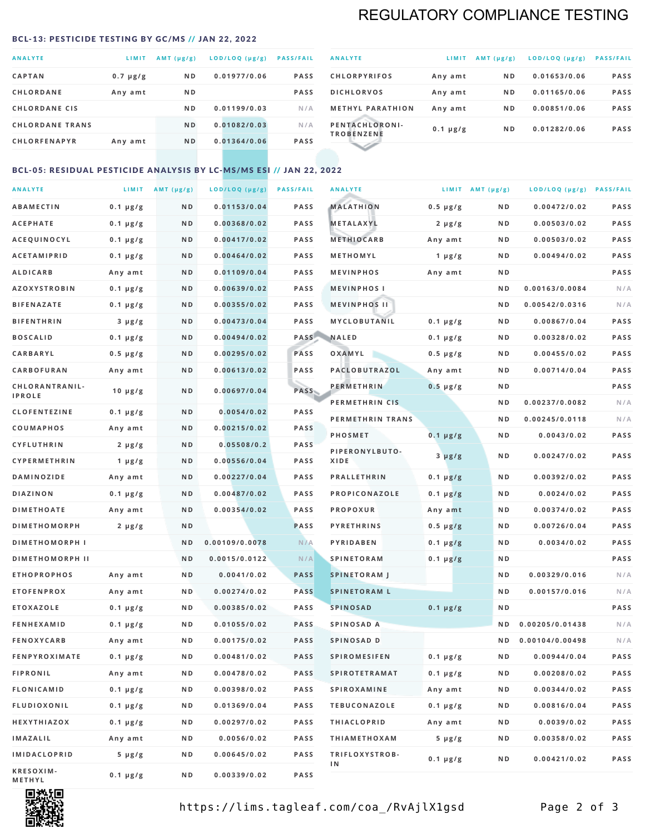## REGULATORY COMPLIANCE TESTING

#### <span id="page-1-0"></span>BCL-13: PESTICIDE TESTING BY GC/MS // JAN 22, 2022

| <b>ANALYTE</b>         | <b>LIMIT</b>  | AMT $(\mu g/g)$ | LOD/LOQ (µg/g) | <b>PASS/FAIL</b> |
|------------------------|---------------|-----------------|----------------|------------------|
| <b>CAPTAN</b>          | $0.7 \mu g/g$ | ND.             | 0.01977/0.06   | <b>PASS</b>      |
| <b>CHLORDANE</b>       | Any amt       | N <sub>D</sub>  |                | <b>PASS</b>      |
| <b>CHLORDANE CIS</b>   |               | N <sub>D</sub>  | 0.01199/0.03   | N/A              |
| <b>CHLORDANE TRANS</b> |               | N <sub>D</sub>  | 0.01082/0.03   | N/A              |
| <b>CHLORFENAPYR</b>    | Any amt       | N <sub>D</sub>  | 0.01364/0.06   | <b>PASS</b>      |
|                        |               |                 |                |                  |

| <b>ANALYTE</b>                      | LIMIT         | $AMT(\mu g/g)$ | LOD/LOQ (µg/g) | <b>PASS/FAIL</b> |
|-------------------------------------|---------------|----------------|----------------|------------------|
| <b>CHLORPYRIFOS</b>                 | Any amt       | N <sub>D</sub> | 0.01653/0.06   | <b>PASS</b>      |
| <b>DICHLORVOS</b>                   | Any amt       | N <sub>D</sub> | 0.01165/0.06   | <b>PASS</b>      |
| <b>METHYL PARATHION</b>             | Any amt       | N <sub>D</sub> | 0.00851/0.06   | <b>PASS</b>      |
| PENTACHLORONI-<br><b>TROBENZENE</b> | $0.1 \mu g/g$ | N <sub>D</sub> | 0.01282/0.06   | <b>PASS</b>      |
|                                     |               |                |                |                  |

### BCL-05: RESIDUAL PESTICIDE ANALYSIS BY LC-MS/MS ESI // JAN 22, 2022

| <b>ANALYTE</b>             |                  | LIMIT $AMT (\mu g/g)$ | LOD/LOQ (µg/g) | <b>PASS/FAIL</b> | <b>ANALYTE</b>       |                  | LIMIT AMT $(\mu g/g)$ | LOD/LOQ (µg/g) PASS/FAIL |             |
|----------------------------|------------------|-----------------------|----------------|------------------|----------------------|------------------|-----------------------|--------------------------|-------------|
| <b>ABAMECTIN</b>           | $0.1 \mu g/g$    | N D                   | 0.01153/0.04   | <b>PASS</b>      | <b>MALATHION</b>     | $0.5 \mu g/g$    | N D                   | 0.00472/0.02             | <b>PASS</b> |
| <b>ACEPHATE</b>            | $0.1 \mu g/g$    | N D                   | 0.00368/0.02   | <b>PASS</b>      | <b>METALAXYL</b>     | $2 \mu g/g$      | N D                   | 0.00503/0.02             | PASS        |
| ACEQUINOCYL                | $0.1 \mu g/g$    | N D                   | 0.00417/0.02   | <b>PASS</b>      | <b>METHIOCARB</b>    | Any amt          | N D                   | 0.00503/0.02             | PASS        |
| <b>ACETAMIPRID</b>         | $0.1 \mu g/g$    | N D                   | 0.00464/0.02   | PASS             | METHOMYL             | 1 $\mu$ g/g      | N D                   | 0.00494/0.02             | PASS        |
| <b>ALDICARB</b>            | Any amt          | ND                    | 0.01109/0.04   | <b>PASS</b>      | <b>MEVINPHOS</b>     | Any amt          | N D                   |                          | PASS        |
| <b>AZOXYSTROBIN</b>        | $0.1 \mu g/g$    | N D                   | 0.00639/0.02   | <b>PASS</b>      | <b>MEVINPHOSI</b>    |                  | N D                   | 0.00163/0.0084           | N/A         |
| <b>BIFENAZATE</b>          | $0.1 \mu g/g$    | N D                   | 0.00355/0.02   | <b>PASS</b>      | <b>MEVINPHOS II</b>  |                  | N D                   | 0.00542/0.0316           | N/A         |
| <b>BIFENTHRIN</b>          | $3 \mu g/g$      | ND                    | 0.00473/0.04   | <b>PASS</b>      | MYCLOBUTANIL         | $0.1 \mu g/g$    | N D                   | 0.00867/0.04             | PASS        |
| <b>BOSCALID</b>            | $0.1 \mu g/g$    | N D                   | 0.00494/0.02   |                  | PASS NALED           | 0.1 µg/g         | N D                   | 0.00328/0.02             | PASS        |
| CARBARYL                   | $0.5 \, \mu g/g$ | N D                   | 0.00295/0.02   | PASS             | OXAMYL               | $0.5 \, \mu g/g$ | N D                   | 0.00455/0.02             | PASS        |
| CARBOFURAN                 | Any amt          | N D                   | 0.00613/0.02   | PASS             | PACLOBUTRAZOL        | Any amt          | N D                   | 0.00714/0.04             | PASS        |
| CHLORANTRANIL-             | $10 \mu g/g$     | N D                   | 0.00697/0.04   | PASS             | <b>PERMETHRIN</b>    | $0.5 \mu g/g$    | N D                   |                          | PASS        |
| <b>IPROLE</b>              |                  |                       |                |                  | PERMETHRIN CIS       |                  | N D                   | 0.00237/0.0082           | N/A         |
| <b>CLOFENTEZINE</b>        | $0.1 \mu g/g$    | N D                   | 0.0054/0.02    | <b>PASS</b>      | PERMETHRIN TRANS     |                  | N D                   | 0.00245/0.0118           | N/A         |
| COUMAPHOS                  | Any amt          | N D                   | 0.00215/0.02   | PASS             | <b>PHOSMET</b>       | $0.1 \mu g/g$    | N D                   | 0.0043/0.02              | PASS        |
| CYFLUTHRIN                 | $2 \mu g/g$      | N D                   | 0.05508/0.2    | <b>PASS</b>      | PIPERONYLBUTO-       | $3 \mu g/g$      | N D                   | 0.00247/0.02             | PASS        |
| <b>CYPERMETHRIN</b>        | 1 $\mu$ g/g      | N D                   | 0.00556/0.04   | <b>PASS</b>      | XIDE                 |                  |                       |                          |             |
| <b>DAMINOZIDE</b>          | Any amt          | N D                   | 0.00227/0.04   | PASS             | <b>PRALLETHRIN</b>   | $0.1 \mu g/g$    | N D                   | 0.00392/0.02             | PASS        |
| <b>DIAZINON</b>            | $0.1 \mu g/g$    | N D                   | 0.00487/0.02   | <b>PASS</b>      | PROPICONAZOLE        | $0.1 \mu g/g$    | N D                   | 0.0024/0.02              | PASS        |
| <b>DIMETHOATE</b>          | Any amt          | N D                   | 0.00354/0.02   | <b>PASS</b>      | <b>PROPOXUR</b>      | Any amt          | N D                   | 0.00374/0.02             | PASS        |
| <b>DIMETHOMORPH</b>        | $2 \mu g/g$      | N D                   |                | <b>PASS</b>      | <b>PYRETHRINS</b>    | $0.5 \mu g/g$    | N D                   | 0.00726/0.04             | PASS        |
| <b>DIMETHOMORPH I</b>      |                  | N D                   | 0.00109/0.0078 | N/A              | <b>PYRIDABEN</b>     | $0.1 \mu g/g$    | N D                   | 0.0034/0.02              | PASS        |
| <b>DIMETHOMORPH II</b>     |                  | ND                    | 0.0015/0.0122  | N/A              | <b>SPINETORAM</b>    | $0.1 \mu g/g$    | N D                   |                          | PASS        |
| <b>ETHOPROPHOS</b>         | Any amt          | N D                   | 0.0041/0.02    | <b>PASS</b>      | <b>SPINETORAM J</b>  |                  | N D                   | 0.00329/0.016            | N/A         |
| <b>ETOFENPROX</b>          | Any amt          | N D                   | 0.00274/0.02   | <b>PASS</b>      | <b>SPINETORAM L</b>  |                  | N D                   | 0.00157/0.016            | N/A         |
| <b>ETOXAZOLE</b>           | $0.1 \mu g/g$    | N D                   | 0.00385/0.02   | PASS             | <b>SPINOSAD</b>      | $0.1 \mu g/g$    | N D                   |                          | PASS        |
| <b>FENHEXAMID</b>          | $0.1 \mu g/g$    | N D                   | 0.01055/0.02   | <b>PASS</b>      | SPINOSAD A           |                  | N D                   | 0.00205/0.01438          | N/A         |
| <b>FENOXYCARB</b>          | Any amt          | N D                   | 0.00175/0.02   | <b>PASS</b>      | SPINOSAD D           |                  | N D                   | 0.00104/0.00498          | N/A         |
| <b>FENPYROXIMATE</b>       | 0.1 µg/g         | N D                   | 0.00481/0.02   | <b>PASS</b>      | SPIROMESIFEN         | 0.1 µg/g         | N D                   | 0.00944/0.04             | PASS        |
| <b>FIPRONIL</b>            | Any amt          | N D                   | 0.00478/0.02   | PASS             | <b>SPIROTETRAMAT</b> | $0.1 \, \mu g/g$ | N D                   | 0.00208/0.02             | PASS        |
| FLONICAMID                 | $0.1 \mu g/g$    | N D                   | 0.00398/0.02   | PASS             | SPIROXAMINE          | Any amt          | N D                   | 0.00344/0.02             | PASS        |
| <b>FLUDIOXONIL</b>         | $0.1 \mu g/g$    | N D                   | 0.01369/0.04   | PASS             | <b>TEBUCONAZOLE</b>  | $0.1 \mu g/g$    | N D                   | 0.00816/0.04             | PASS        |
| HEXYTHIAZOX                | $0.1 \mu g/g$    | N D                   | 0.00297/0.02   | PASS             | <b>THIACLOPRID</b>   | Any amt          | N D                   | 0.0039/0.02              | PASS        |
| <b>IMAZALIL</b>            | Any amt          | N D                   | 0.0056/0.02    | PASS             | <b>THIAMETHOXAM</b>  | $5 \mu g/g$      | N D                   | 0.00358/0.02             | PASS        |
| <b>IMIDACLOPRID</b>        | 5 µg/g           | N D                   | 0.00645/0.02   | <b>PASS</b>      | TRIFLOXYSTROB-<br>ΙN | $0.1 \mu g/g$    | N D                   | 0.00421/0.02             | PASS        |
| KRESOXIM-<br><b>METHYL</b> | $0.1 \mu g/g$    | N D                   | 0.00339/0.02   | PASS             |                      |                  |                       |                          |             |